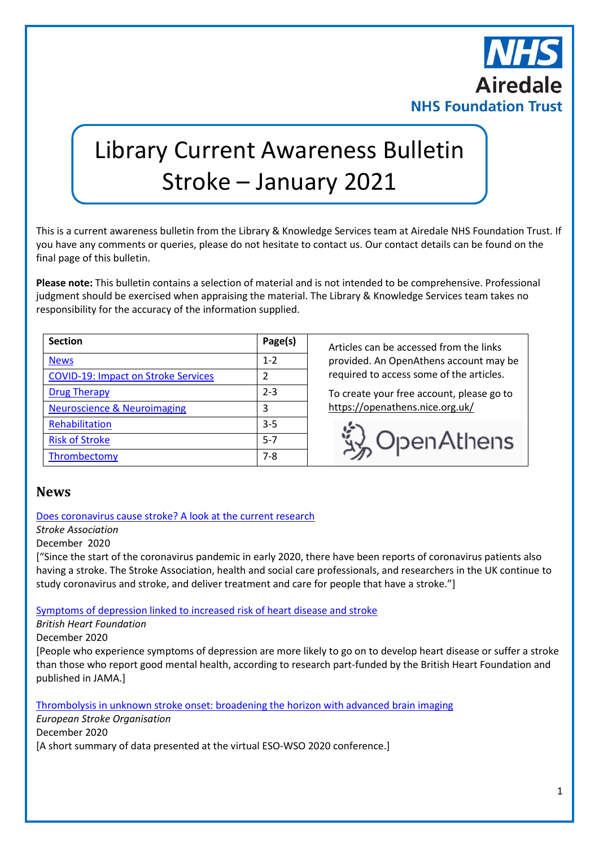

# Library Current Awareness Bulletin Stroke – January 2021

This is a current awareness bulletin from the Library & Knowledge Services team at Airedale NHS Foundation Trust. If you have any comments or queries, please do not hesitate to contact us. Our contact details can be found on the final page of this bulletin.

**Please note:** This bulletin contains a selection of material and is not intended to be comprehensive. Professional judgment should be exercised when appraising the material. The Library & Knowledge Services team takes no responsibility for the accuracy of the information supplied.

| <b>Section</b>                             | Page(s) |
|--------------------------------------------|---------|
| <b>News</b>                                | $1 - 2$ |
| <b>COVID-19: Impact on Stroke Services</b> | 2       |
| <b>Drug Therapy</b>                        | $2 - 3$ |
| <b>Neuroscience &amp; Neuroimaging</b>     | 3       |
| Rehabilitation                             | $3 - 5$ |
| <b>Risk of Stroke</b>                      | $5 - 7$ |
| Thrombectomy                               | 7-8     |

**Section Page(s)** Articles can be accessed from the links provided. An OpenAthens account may be required to access some of the articles.

To create your free account, please go to <https://openathens.nice.org.uk/>



## <span id="page-0-0"></span>**News**

[Does coronavirus cause stroke? A look at the current research](https://www.stroke.org.uk/news/does-coronavirus-cause-stroke-look-current-research)

*Stroke Association*

December 2020

["Since the start of the coronavirus pandemic in early 2020, there have been reports of coronavirus patients also having a stroke. The Stroke Association, health and social care professionals, and researchers in the UK continue to study coronavirus and stroke, and deliver treatment and care for people that have a stroke."]

[Symptoms of depression linked to increased risk of heart disease and stroke](https://www.bhf.org.uk/what-we-do/news-from-the-bhf/news-archive/2020/december/symptoms-of-depression-linked-to-increased-risk-of-heart-disease-and-stroke)

*British Heart Foundation*

December 2020

[People who experience symptoms of depression are more likely to go on to develop heart disease or suffer a stroke than those who report good mental health, according to research part-funded by the British Heart Foundation and published in JAMA.]

[Thrombolysis in unknown stroke onset: broadening the horizon with advanced brain imaging](https://eso-stroke.org/thrombolysis-in-unknown-stroke-onset/)

*European Stroke Organisation*

December 2020 [A short summary of data presented at the virtual ESO-WSO 2020 conference.]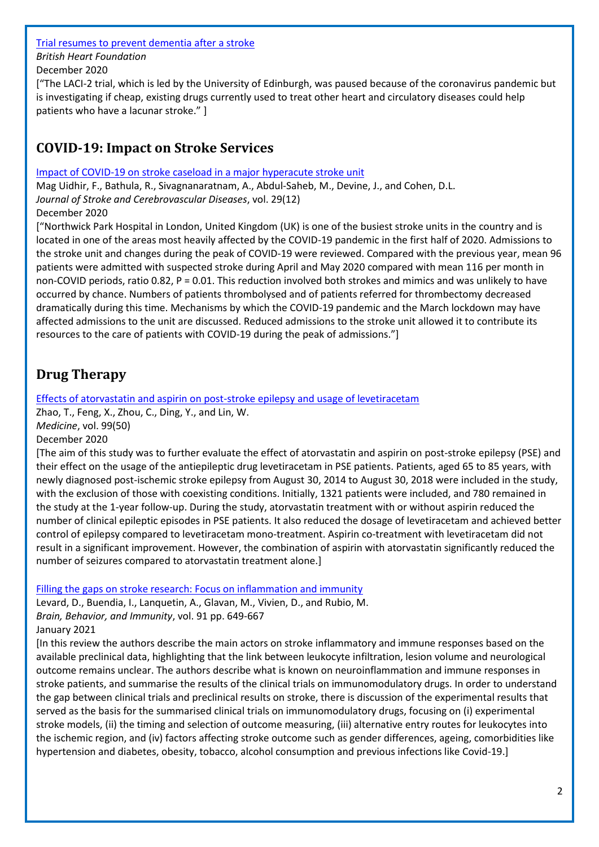#### [Trial resumes to prevent dementia after a stroke](https://www.bhf.org.uk/what-we-do/news-from-the-bhf/news-archive/2020/december/trial-resumes-to-prevent-dementia-after-stroke)

*British Heart Foundation*

December 2020

["The LACI-2 trial, which is led by the University of Edinburgh, was paused because of the coronavirus pandemic but is investigating if cheap, existing drugs currently used to treat other heart and circulatory diseases could help patients who have a lacunar stroke." ]

# <span id="page-1-0"></span>**COVID-19: Impact on Stroke Services**

## [Impact of COVID-19 on stroke caseload in a major hyperacute stroke unit](https://www.ncbi.nlm.nih.gov/pmc/articles/PMC7538088/)

Mag Uidhir, F., Bathula, R., Sivagnanaratnam, A., Abdul-Saheb, M., Devine, J., and Cohen, D.L. *Journal of Stroke and Cerebrovascular Diseases*, vol. 29(12)

December 2020

["Northwick Park Hospital in London, United Kingdom (UK) is one of the busiest stroke units in the country and is located in one of the areas most heavily affected by the COVID-19 pandemic in the first half of 2020. Admissions to the stroke unit and changes during the peak of COVID-19 were reviewed. Compared with the previous year, mean 96 patients were admitted with suspected stroke during April and May 2020 compared with mean 116 per month in non-COVID periods, ratio 0.82, P = 0.01. This reduction involved both strokes and mimics and was unlikely to have occurred by chance. Numbers of patients thrombolysed and of patients referred for thrombectomy decreased dramatically during this time. Mechanisms by which the COVID-19 pandemic and the March lockdown may have affected admissions to the unit are discussed. Reduced admissions to the stroke unit allowed it to contribute its resources to the care of patients with COVID-19 during the peak of admissions."]

# <span id="page-1-1"></span>**Drug Therapy**

## [Effects of atorvastatin and aspirin on post-stroke epilepsy and usage of levetiracetam](https://www.ncbi.nlm.nih.gov/pmc/articles/PMC7738023/)

Zhao, T., Feng, X., Zhou, C., Ding, Y., and Lin, W.

*Medicine*, vol. 99(50)

December 2020

[The aim of this study was to further evaluate the effect of atorvastatin and aspirin on post-stroke epilepsy (PSE) and their effect on the usage of the antiepileptic drug levetiracetam in PSE patients. Patients, aged 65 to 85 years, with newly diagnosed post-ischemic stroke epilepsy from August 30, 2014 to August 30, 2018 were included in the study, with the exclusion of those with coexisting conditions. Initially, 1321 patients were included, and 780 remained in the study at the 1-year follow-up. During the study, atorvastatin treatment with or without aspirin reduced the number of clinical epileptic episodes in PSE patients. It also reduced the dosage of levetiracetam and achieved better control of epilepsy compared to levetiracetam mono-treatment. Aspirin co-treatment with levetiracetam did not result in a significant improvement. However, the combination of aspirin with atorvastatin significantly reduced the number of seizures compared to atorvastatin treatment alone.]

[Filling the gaps on stroke research: Focus on inflammation and immunity](https://www.ncbi.nlm.nih.gov/pmc/articles/PMC7531595/)

Levard, D., Buendia, I., Lanquetin, A., Glavan, M., Vivien, D., and Rubio, M. *Brain, Behavior, and Immunity*, vol. 91 pp. 649-667 January 2021

[In this review the authors describe the main actors on stroke inflammatory and immune responses based on the available preclinical data, highlighting that the link between leukocyte infiltration, lesion volume and neurological outcome remains unclear. The authors describe what is known on neuroinflammation and immune responses in stroke patients, and summarise the results of the clinical trials on immunomodulatory drugs. In order to understand the gap between clinical trials and preclinical results on stroke, there is discussion of the experimental results that served as the basis for the summarised clinical trials on immunomodulatory drugs, focusing on (i) experimental stroke models, (ii) the timing and selection of outcome measuring, (iii) alternative entry routes for leukocytes into the ischemic region, and (iv) factors affecting stroke outcome such as gender differences, ageing, comorbidities like hypertension and diabetes, obesity, tobacco, alcohol consumption and previous infections like Covid-19.]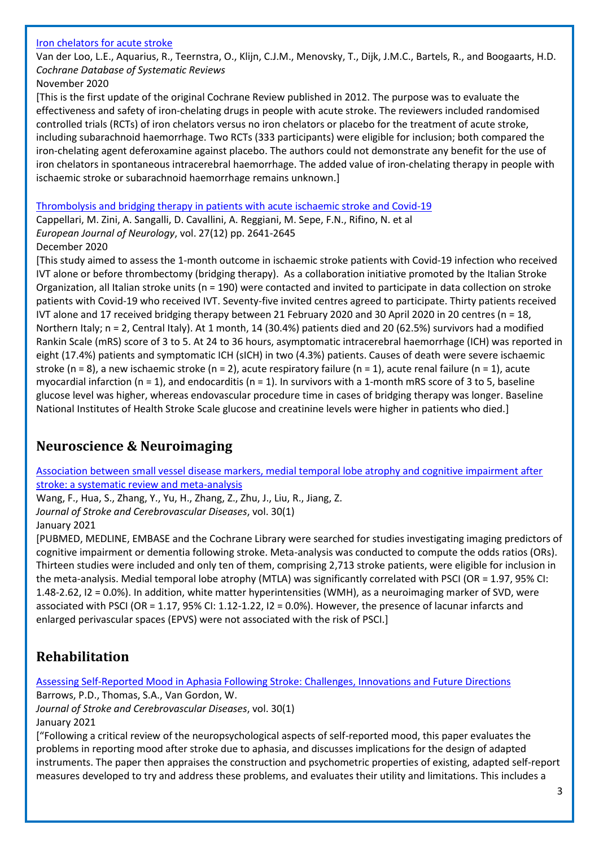#### [Iron chelators for acute stroke](https://www.cochranelibrary.com/cdsr/doi/10.1002/14651858.CD009280.pub3/full)

Van der Loo, L.E., Aquarius, R., Teernstra, O., Klijn, C.J.M., Menovsky, T., Dijk, J.M.C., Bartels, R., and Boogaarts, H.D. *Cochrane Database of Systematic Reviews*

November 2020

[This is the first update of the original Cochrane Review published in 2012. The purpose was to evaluate the effectiveness and safety of iron‐chelating drugs in people with acute stroke. The reviewers included randomised controlled trials (RCTs) of iron chelators versus no iron chelators or placebo for the treatment of acute stroke, including subarachnoid haemorrhage. Two RCTs (333 participants) were eligible for inclusion; both compared the iron‐chelating agent deferoxamine against placebo. The authors could not demonstrate any benefit for the use of iron chelators in spontaneous intracerebral haemorrhage. The added value of iron‐chelating therapy in people with ischaemic stroke or subarachnoid haemorrhage remains unknown.]

#### [Thrombolysis and bridging therapy in patients with acute ischaemic stroke and Covid-19](https://onlinelibrary.wiley.com/doi/10.1111/ene.14511)

Cappellari, M. Zini, A. Sangalli, D. Cavallini, A. Reggiani, M. Sepe, F.N., Rifino, N. et al *European Journal of Neurology*, vol. 27(12) pp. 2641-2645

#### December 2020

[This study aimed to assess the 1‐month outcome in ischaemic stroke patients with Covid‐19 infection who received IVT alone or before thrombectomy (bridging therapy). As a collaboration initiative promoted by the Italian Stroke Organization, all Italian stroke units ( $n = 190$ ) were contacted and invited to participate in data collection on stroke patients with Covid‐19 who received IVT. Seventy‐five invited centres agreed to participate. Thirty patients received IVT alone and 17 received bridging therapy between 21 February 2020 and 30 April 2020 in 20 centres (n = 18, Northern Italy; n = 2, Central Italy). At 1 month, 14 (30.4%) patients died and 20 (62.5%) survivors had a modified Rankin Scale (mRS) score of 3 to 5. At 24 to 36 hours, asymptomatic intracerebral haemorrhage (ICH) was reported in eight (17.4%) patients and symptomatic ICH (sICH) in two (4.3%) patients. Causes of death were severe ischaemic stroke (n = 8), a new ischaemic stroke (n = 2), acute respiratory failure (n = 1), acute renal failure (n = 1), acute myocardial infarction (n = 1), and endocarditis (n = 1). In survivors with a 1-month mRS score of 3 to 5, baseline glucose level was higher, whereas endovascular procedure time in cases of bridging therapy was longer. Baseline National Institutes of Health Stroke Scale glucose and creatinine levels were higher in patients who died.]

## <span id="page-2-0"></span>**Neuroscience & Neuroimaging**

[Association between small vessel disease markers, medial temporal lobe atrophy and cognitive impairment after](https://www.strokejournal.org/article/S1052-3057(20)30878-8/fulltext)  [stroke: a systematic review and meta-analysis](https://www.strokejournal.org/article/S1052-3057(20)30878-8/fulltext)

Wang, F., Hua, S., Zhang, Y., Yu, H., Zhang, Z., Zhu, J., Liu, R., Jiang, Z.

*Journal of Stroke and Cerebrovascular Diseases*, vol. 30(1)

January 2021

[PUBMED, MEDLINE, EMBASE and the Cochrane Library were searched for studies investigating imaging predictors of cognitive impairment or dementia following stroke. Meta-analysis was conducted to compute the odds ratios (ORs). Thirteen studies were included and only ten of them, comprising 2,713 stroke patients, were eligible for inclusion in the meta-analysis. Medial temporal lobe atrophy (MTLA) was significantly correlated with PSCI (OR = 1.97, 95% CI: 1.48-2.62, I2 = 0.0%). In addition, white matter hyperintensities (WMH), as a neuroimaging marker of SVD, were associated with PSCI (OR = 1.17, 95% CI: 1.12-1.22, I2 = 0.0%). However, the presence of lacunar infarcts and enlarged perivascular spaces (EPVS) were not associated with the risk of PSCI.]

# <span id="page-2-1"></span>**Rehabilitation**

Assessing Self-Reported Mood in [Aphasia Following Stroke: Challenges, Innovations and Future Directions](https://www.strokejournal.org/article/S1052-3057(20)30843-0/fulltext)

Barrows, P.D., Thomas, S.A., Van Gordon, W.

*Journal of Stroke and Cerebrovascular Diseases*, vol. 30(1)

January 2021

["Following a critical review of the neuropsychological aspects of self-reported mood, this paper evaluates the problems in reporting mood after stroke due to aphasia, and discusses implications for the design of adapted instruments. The paper then appraises the construction and psychometric properties of existing, adapted self-report measures developed to try and address these problems, and evaluates their utility and limitations. This includes a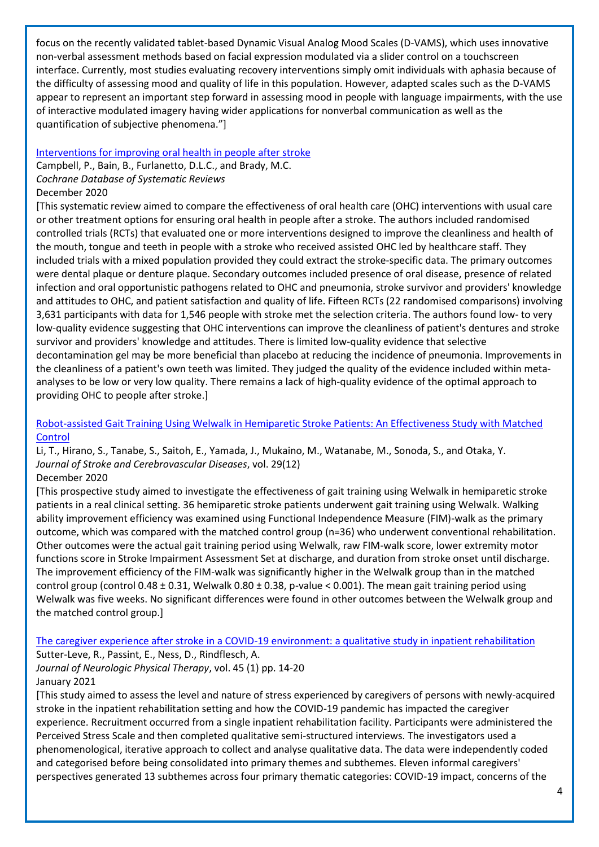focus on the recently validated tablet-based Dynamic Visual Analog Mood Scales (D-VAMS), which uses innovative non-verbal assessment methods based on facial expression modulated via a slider control on a touchscreen interface. Currently, most studies evaluating recovery interventions simply omit individuals with aphasia because of the difficulty of assessing mood and quality of life in this population. However, adapted scales such as the D-VAMS appear to represent an important step forward in assessing mood in people with language impairments, with the use of interactive modulated imagery having wider applications for nonverbal communication as well as the quantification of subjective phenomena."]

#### [Interventions for improving oral health in people after stroke](https://www.cochranelibrary.com/cdsr/doi/10.1002/14651858.CD003864.pub3/full)

Campbell, P., Bain, B., Furlanetto, D.L.C., and Brady, M.C. *Cochrane Database of Systematic Reviews*

#### December 2020

[This systematic review aimed to compare the effectiveness of oral health care (OHC) interventions with usual care or other treatment options for ensuring oral health in people after a stroke. The authors included randomised controlled trials (RCTs) that evaluated one or more interventions designed to improve the cleanliness and health of the mouth, tongue and teeth in people with a stroke who received assisted OHC led by healthcare staff. They included trials with a mixed population provided they could extract the stroke‐specific data. The primary outcomes were dental plaque or denture plaque. Secondary outcomes included presence of oral disease, presence of related infection and oral opportunistic pathogens related to OHC and pneumonia, stroke survivor and providers' knowledge and attitudes to OHC, and patient satisfaction and quality of life. Fifteen RCTs (22 randomised comparisons) involving 3,631 participants with data for 1,546 people with stroke met the selection criteria. The authors found low‐ to very low-quality evidence suggesting that OHC interventions can improve the cleanliness of patient's dentures and stroke survivor and providers' knowledge and attitudes. There is limited low‐quality evidence that selective decontamination gel may be more beneficial than placebo at reducing the incidence of pneumonia. Improvements in the cleanliness of a patient's own teeth was limited. They judged the quality of the evidence included within metaanalyses to be low or very low quality. There remains a lack of high‐quality evidence of the optimal approach to providing OHC to people after stroke.]

#### [Robot-assisted Gait Training Using Welwalk in Hemiparetic Stroke Patients: An Effectiveness Study with Matched](https://www.sciencedirect.com/science/article/pii/S1052305720307953)  **[Control](https://www.sciencedirect.com/science/article/pii/S1052305720307953)**

Li, T., Hirano, S., Tanabe, S., Saitoh, E., Yamada, J., Mukaino, M., Watanabe, M., Sonoda, S., and Otaka, Y. *Journal of Stroke and Cerebrovascular Diseases*, vol. 29(12)

#### December 2020

[This prospective study aimed to investigate the effectiveness of gait training using Welwalk in hemiparetic stroke patients in a real clinical setting. 36 hemiparetic stroke patients underwent gait training using Welwalk. Walking ability improvement efficiency was examined using Functional Independence Measure (FIM)-walk as the primary outcome, which was compared with the matched control group (n=36) who underwent conventional rehabilitation. Other outcomes were the actual gait training period using Welwalk, raw FIM-walk score, lower extremity motor functions score in Stroke Impairment Assessment Set at discharge, and duration from stroke onset until discharge. The improvement efficiency of the FIM-walk was significantly higher in the Welwalk group than in the matched control group (control 0.48 ± 0.31, Welwalk 0.80 ± 0.38, p-value < 0.001). The mean gait training period using Welwalk was five weeks. No significant differences were found in other outcomes between the Welwalk group and the matched control group.]

[The caregiver experience after stroke in a COVID-19 environment:](https://www.ncbi.nlm.nih.gov/pmc/articles/PMC7737698/) a qualitative study in inpatient rehabilitation Sutter-Leve, R., Passint, E., Ness, D., Rindflesch, A. *Journal of Neurologic Physical Therapy*, vol. 45 (1) pp. 14-20

#### January 2021

[This study aimed to assess the level and nature of stress experienced by caregivers of persons with newly-acquired stroke in the inpatient rehabilitation setting and how the COVID-19 pandemic has impacted the caregiver experience. Recruitment occurred from a single inpatient rehabilitation facility. Participants were administered the Perceived Stress Scale and then completed qualitative semi-structured interviews. The investigators used a phenomenological, iterative approach to collect and analyse qualitative data. The data were independently coded and categorised before being consolidated into primary themes and subthemes. Eleven informal caregivers' perspectives generated 13 subthemes across four primary thematic categories: COVID-19 impact, concerns of the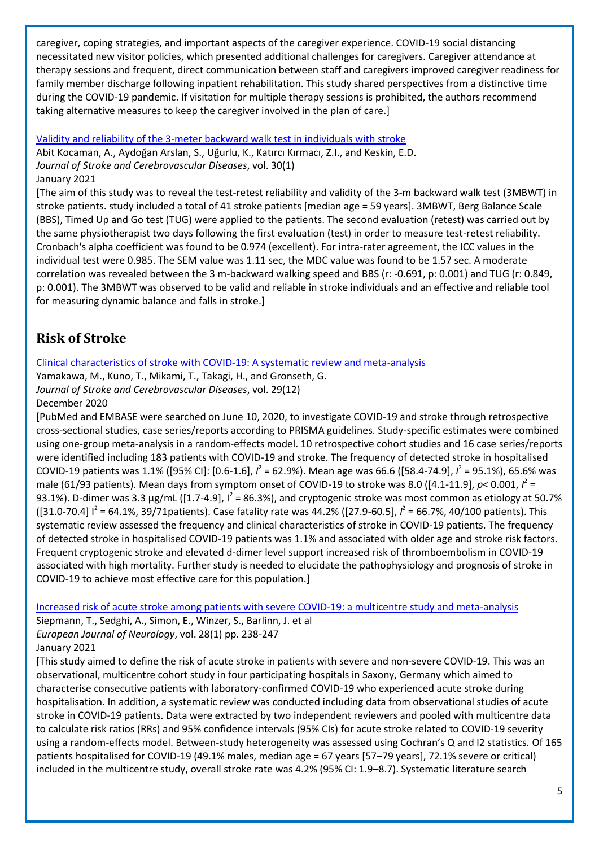caregiver, coping strategies, and important aspects of the caregiver experience. COVID-19 social distancing necessitated new visitor policies, which presented additional challenges for caregivers. Caregiver attendance at therapy sessions and frequent, direct communication between staff and caregivers improved caregiver readiness for family member discharge following inpatient rehabilitation. This study shared perspectives from a distinctive time during the COVID-19 pandemic. If visitation for multiple therapy sessions is prohibited, the authors recommend taking alternative measures to keep the caregiver involved in the plan of care.]

[Validity and reliability of the 3-meter backward walk test in individuals with stroke](https://www.sciencedirect.com/science/article/pii/S1052305720308806)

Abit Kocaman, A., Aydoğan Arslan, S., Uğurlu, K., Katırcı Kırmacı, Z.I., and Keskin, E.D. *Journal of Stroke and Cerebrovascular Diseases*, vol. 30(1) January 2021

[The aim of this study was to reveal the test-retest reliability and validity of the 3-m backward walk test (3MBWT) in stroke patients. study included a total of 41 stroke patients [median age = 59 years]. 3MBWT, Berg Balance Scale (BBS), Timed Up and Go test (TUG) were applied to the patients. The second evaluation (retest) was carried out by the same physiotherapist two days following the first evaluation (test) in order to measure test-retest reliability. Cronbach's alpha coefficient was found to be 0.974 (excellent). For intra-rater agreement, the ICC values in the individual test were 0.985. The SEM value was 1.11 sec, the MDC value was found to be 1.57 sec. A moderate correlation was revealed between the 3 m-backward walking speed and BBS (r: -0.691, p: 0.001) and TUG (r: 0.849, p: 0.001). The 3MBWT was observed to be valid and reliable in stroke individuals and an effective and reliable tool for measuring dynamic balance and falls in stroke.]

# <span id="page-4-0"></span>**Risk of Stroke**

[Clinical characteristics of stroke with COVID-19: A systematic review and meta-analysis](https://www.ncbi.nlm.nih.gov/pmc/articles/PMC7456266/)

Yamakawa, M., Kuno, T., Mikami, T., Takagi, H., and Gronseth, G. *Journal of Stroke and Cerebrovascular Diseases*, vol. 29(12) December 2020

[PubMed and EMBASE were searched on June 10, 2020, to investigate COVID-19 and stroke through retrospective cross-sectional studies, case series/reports according to PRISMA guidelines. Study-specific estimates were combined using one-group meta-analysis in a random-effects model. 10 retrospective cohort studies and 16 case series/reports were identified including 183 patients with COVID-19 and stroke. The frequency of detected stroke in hospitalised COVID-19 patients was 1.1% ([95% CI]: [0.6-1.6],  $l^2$  = 62.9%). Mean age was 66.6 ([58.4-74.9],  $l^2$  = 95.1%), 65.6% was male (61/93 patients). Mean days from symptom onset of COVID-19 to stroke was 8.0 ([4.1-11.9],  $p$ < 0.001,  $l^2$  = 93.1%). D-dimer was 3.3 μg/mL ([1.7-4.9],  $I^2$  = 86.3%), and cryptogenic stroke was most common as etiology at 50.7%  $([31.0-70.4]$   $|^2$  = 64.1%, 39/71 patients). Case fatality rate was 44.2% ([27.9-60.5],  $l^2$  = 66.7%, 40/100 patients). This systematic review assessed the frequency and clinical characteristics of stroke in COVID-19 patients. The frequency of detected stroke in hospitalised COVID-19 patients was 1.1% and associated with older age and stroke risk factors. Frequent cryptogenic stroke and elevated d-dimer level support increased risk of thromboembolism in COVID-19 associated with high mortality. Further study is needed to elucidate the pathophysiology and prognosis of stroke in COVID-19 to achieve most effective care for this population.]

[Increased risk of acute stroke among patients with severe COVID-19: a multicentre study and meta-analysis](https://onlinelibrary.wiley.com/doi/10.1111/ene.14535)

Siepmann, T., Sedghi, A., Simon, E., Winzer, S., Barlinn, J. et al *European Journal of Neurology*, vol. 28(1) pp. 238-247 January 2021

[This study aimed to define the risk of acute stroke in patients with severe and non‐severe COVID‐19. This was an observational, multicentre cohort study in four participating hospitals in Saxony, Germany which aimed to characterise consecutive patients with laboratory‐confirmed COVID‐19 who experienced acute stroke during hospitalisation. In addition, a systematic review was conducted including data from observational studies of acute stroke in COVID‐19 patients. Data were extracted by two independent reviewers and pooled with multicentre data to calculate risk ratios (RRs) and 95% confidence intervals (95% CIs) for acute stroke related to COVID‐19 severity using a random-effects model. Between-study heterogeneity was assessed using Cochran's Q and I2 statistics. Of 165 patients hospitalised for COVID‐19 (49.1% males, median age = 67 years [57–79 years], 72.1% severe or critical) included in the multicentre study, overall stroke rate was 4.2% (95% CI: 1.9–8.7). Systematic literature search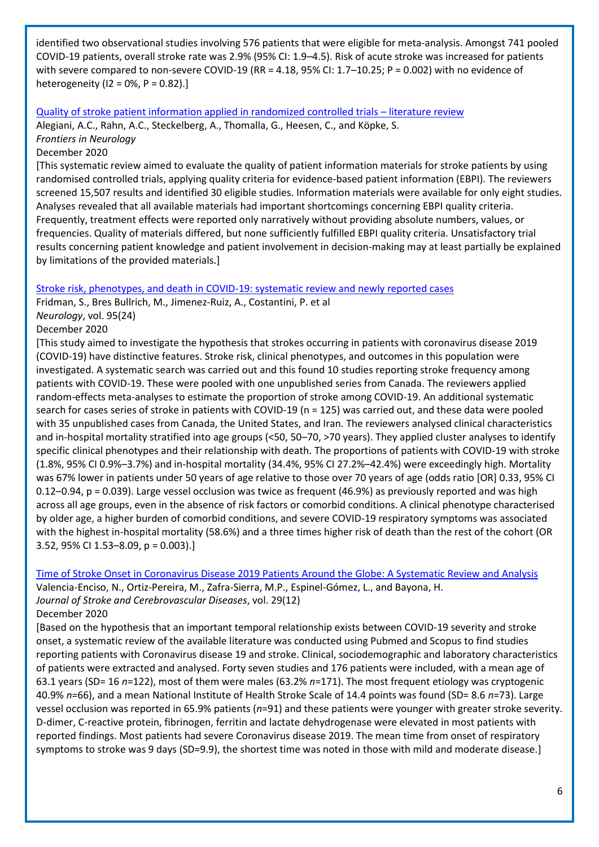identified two observational studies involving 576 patients that were eligible for meta-analysis. Amongst 741 pooled COVID‐19 patients, overall stroke rate was 2.9% (95% CI: 1.9–4.5). Risk of acute stroke was increased for patients with severe compared to non-severe COVID-19 (RR = 4.18, 95% CI: 1.7–10.25; P = 0.002) with no evidence of heterogeneity ( $12 = 0\%$ ,  $P = 0.82$ ).]

#### [Quality of stroke patient information applied in randomized controlled trials](https://www.frontiersin.org/articles/10.3389/fneur.2020.526515/full) – literature review

Alegiani, A.C., Rahn, A.C., Steckelberg, A., Thomalla, G., Heesen, C., and Köpke, S. *Frontiers in Neurology*

#### December 2020

[This systematic review aimed to evaluate the quality of patient information materials for stroke patients by using randomised controlled trials, applying quality criteria for evidence-based patient information (EBPI). The reviewers screened 15,507 results and identified 30 eligible studies. Information materials were available for only eight studies. Analyses revealed that all available materials had important shortcomings concerning EBPI quality criteria. Frequently, treatment effects were reported only narratively without providing absolute numbers, values, or frequencies. Quality of materials differed, but none sufficiently fulfilled EBPI quality criteria. Unsatisfactory trial results concerning patient knowledge and patient involvement in decision-making may at least partially be explained by limitations of the provided materials.]

[Stroke risk, phenotypes, and death in COVID-19: systematic review and newly reported cases](https://n.neurology.org/content/95/24/e3373.long)

Fridman, S., Bres Bullrich, M., Jimenez-Ruiz, A., Costantini, P. et al

#### *Neurology*, vol. 95(24)

#### December 2020

[This study aimed to investigate the hypothesis that strokes occurring in patients with coronavirus disease 2019 (COVID-19) have distinctive features. Stroke risk, clinical phenotypes, and outcomes in this population were investigated. A systematic search was carried out and this found 10 studies reporting stroke frequency among patients with COVID-19. These were pooled with one unpublished series from Canada. The reviewers applied random-effects meta-analyses to estimate the proportion of stroke among COVID-19. An additional systematic search for cases series of stroke in patients with COVID-19 (n = 125) was carried out, and these data were pooled with 35 unpublished cases from Canada, the United States, and Iran. The reviewers analysed clinical characteristics and in-hospital mortality stratified into age groups (<50, 50–70, >70 years). They applied cluster analyses to identify specific clinical phenotypes and their relationship with death. The proportions of patients with COVID-19 with stroke (1.8%, 95% CI 0.9%–3.7%) and in-hospital mortality (34.4%, 95% CI 27.2%–42.4%) were exceedingly high. Mortality was 67% lower in patients under 50 years of age relative to those over 70 years of age (odds ratio [OR] 0.33, 95% CI 0.12–0.94, p = 0.039). Large vessel occlusion was twice as frequent (46.9%) as previously reported and was high across all age groups, even in the absence of risk factors or comorbid conditions. A clinical phenotype characterised by older age, a higher burden of comorbid conditions, and severe COVID-19 respiratory symptoms was associated with the highest in-hospital mortality (58.6%) and a three times higher risk of death than the rest of the cohort (OR 3.52, 95% CI 1.53–8.09, p = 0.003).]

Time of Stroke Onset [in Coronavirus Disease 2019 Patients Around the Globe: A Systematic Review and Analysis](https://www.ncbi.nlm.nih.gov/pmc/articles/PMC7500919/) Valencia-Enciso, N., Ortiz-Pereira, M., Zafra-Sierra, M.P., Espinel-Gómez, L., and Bayona, H. *Journal of Stroke and Cerebrovascular Diseases*, vol. 29(12) December 2020

## [Based on the hypothesis that an important temporal relationship exists between COVID-19 severity and stroke onset, a systematic review of the available literature was conducted using Pubmed and Scopus to find studies reporting patients with Coronavirus disease 19 and stroke. Clinical, sociodemographic and laboratory characteristics of patients were extracted and analysed. Forty seven studies and 176 patients were included, with a mean age of 63.1 years (SD= 16 *n*=122), most of them were males (63.2% *n*=171). The most frequent etiology was cryptogenic 40.9% *n*=66), and a mean National Institute of Health Stroke Scale of 14.4 points was found (SD= 8.6 *n*=73). Large vessel occlusion was reported in 65.9% patients (*n*=91) and these patients were younger with greater stroke severity. D-dimer, C-reactive protein, fibrinogen, ferritin and lactate dehydrogenase were elevated in most patients with reported findings. Most patients had severe Coronavirus disease 2019. The mean time from onset of respiratory symptoms to stroke was 9 days (SD=9.9), the shortest time was noted in those with mild and moderate disease.]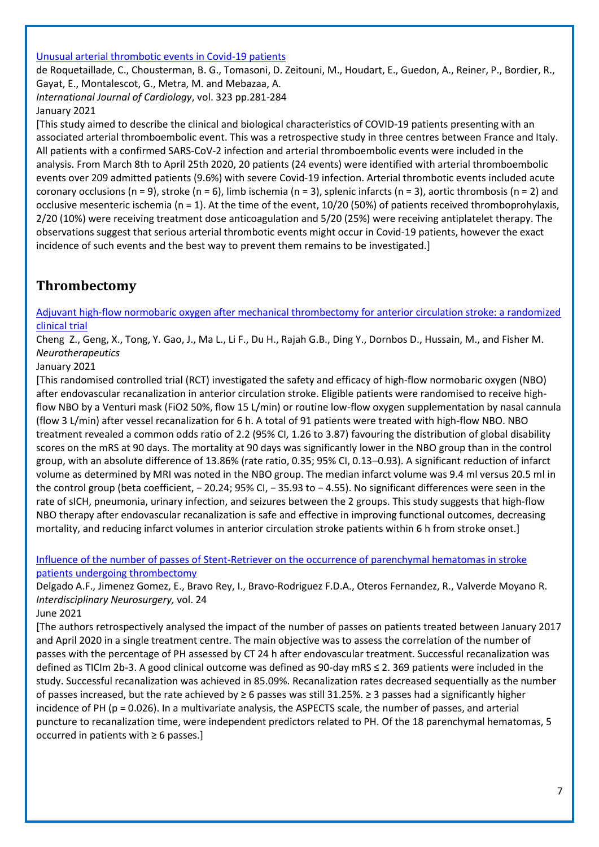#### [Unusual arterial thrombotic events in Covid-19 patients](https://www.ncbi.nlm.nih.gov/pmc/articles/PMC7481127/)

de Roquetaillade, C., Chousterman, B. G., Tomasoni, D. Zeitouni, M., Houdart, E., Guedon, A., Reiner, P., Bordier, R., Gayat, E., Montalescot, G., Metra, M. and Mebazaa, A. *International Journal of Cardiology*, vol. 323 pp.281-284

January 2021

[This study aimed to describe the clinical and biological characteristics of COVID-19 patients presenting with an associated arterial thromboembolic event. This was a retrospective study in three centres between France and Italy. All patients with a confirmed SARS-CoV-2 infection and arterial thromboembolic events were included in the analysis. From March 8th to April 25th 2020, 20 patients (24 events) were identified with arterial thromboembolic events over 209 admitted patients (9.6%) with severe Covid-19 infection. Arterial thrombotic events included acute coronary occlusions (n = 9), stroke (n = 6), limb ischemia (n = 3), splenic infarcts (n = 3), aortic thrombosis (n = 2) and occlusive mesenteric ischemia (n = 1). At the time of the event, 10/20 (50%) of patients received thromboprohylaxis, 2/20 (10%) were receiving treatment dose anticoagulation and 5/20 (25%) were receiving antiplatelet therapy. The observations suggest that serious arterial thrombotic events might occur in Covid-19 patients, however the exact incidence of such events and the best way to prevent them remains to be investigated.]

# <span id="page-6-0"></span>**Thrombectomy**

[Adjuvant high-flow normobaric oxygen after mechanical thrombectomy for anterior circulation stroke: a randomized](https://www.ncbi.nlm.nih.gov/pmc/articles/PMC7787705/)  [clinical](https://www.ncbi.nlm.nih.gov/pmc/articles/PMC7787705/) trial

Cheng Z., Geng, X., Tong, Y. Gao, J., Ma L., Li F., Du H., Rajah G.B., Ding Y., Dornbos D., Hussain, M., and Fisher M. *Neurotherapeutics*

## January 2021

[This randomised controlled trial (RCT) investigated the safety and efficacy of high-flow normobaric oxygen (NBO) after endovascular recanalization in anterior circulation stroke. Eligible patients were randomised to receive highflow NBO by a Venturi mask (FiO2 50%, flow 15 L/min) or routine low-flow oxygen supplementation by nasal cannula (flow 3 L/min) after vessel recanalization for 6 h. A total of 91 patients were treated with high-flow NBO. NBO treatment revealed a common odds ratio of 2.2 (95% CI, 1.26 to 3.87) favouring the distribution of global disability scores on the mRS at 90 days. The mortality at 90 days was significantly lower in the NBO group than in the control group, with an absolute difference of 13.86% (rate ratio, 0.35; 95% CI, 0.13–0.93). A significant reduction of infarct volume as determined by MRI was noted in the NBO group. The median infarct volume was 9.4 ml versus 20.5 ml in the control group (beta coefficient, − 20.24; 95% CI, − 35.93 to − 4.55). No significant differences were seen in the rate of sICH, pneumonia, urinary infection, and seizures between the 2 groups. This study suggests that high-flow NBO therapy after endovascular recanalization is safe and effective in improving functional outcomes, decreasing mortality, and reducing infarct volumes in anterior circulation stroke patients within 6 h from stroke onset.]

[Influence of the number of passes of Stent-Retriever on the occurrence of parenchymal hematomas in stroke](https://www.sciencedirect.com/science/article/pii/S2214751920306022?via%3Dihub)  [patients undergoing thrombectomy](https://www.sciencedirect.com/science/article/pii/S2214751920306022?via%3Dihub)

Delgado A.F., Jimenez Gomez, E., Bravo Rey, I., Bravo-Rodriguez F.D.A., Oteros Fernandez, R., Valverde Moyano R. *Interdisciplinary Neurosurgery,* vol. 24

#### June 2021

[The authors retrospectively analysed the impact of the number of passes on patients treated between January 2017 and April 2020 in a single treatment centre. The main objective was to assess the correlation of the number of passes with the percentage of PH assessed by CT 24 h after endovascular treatment. Successful recanalization was defined as TICIm 2b-3. A good clinical outcome was defined as 90-day mRS ≤ 2. 369 patients were included in the study. Successful recanalization was achieved in 85.09%. Recanalization rates decreased sequentially as the number of passes increased, but the rate achieved by ≥ 6 passes was still 31.25%. ≥ 3 passes had a significantly higher incidence of PH (p = 0.026). In a multivariate analysis, the ASPECTS scale, the number of passes, and arterial puncture to recanalization time, were independent predictors related to PH. Of the 18 parenchymal hematomas, 5 occurred in patients with  $\geq 6$  passes.]